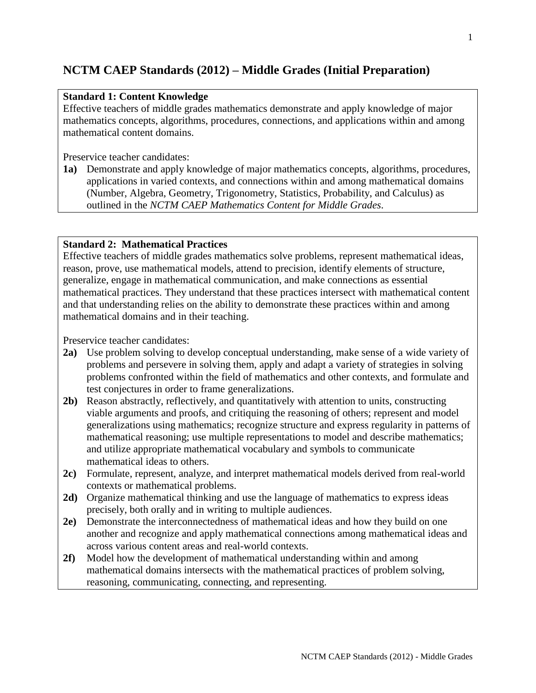# **NCTM CAEP Standards (2012) – Middle Grades (Initial Preparation)**

## **Standard 1: Content Knowledge**

Effective teachers of middle grades mathematics demonstrate and apply knowledge of major mathematics concepts, algorithms, procedures, connections, and applications within and among mathematical content domains.

Preservice teacher candidates:

**1a)** Demonstrate and apply knowledge of major mathematics concepts, algorithms, procedures, applications in varied contexts, and connections within and among mathematical domains (Number, Algebra, Geometry, Trigonometry, Statistics, Probability, and Calculus) as outlined in the *NCTM CAEP Mathematics Content for Middle Grades*.

## **Standard 2: Mathematical Practices**

Effective teachers of middle grades mathematics solve problems, represent mathematical ideas, reason, prove, use mathematical models, attend to precision, identify elements of structure, generalize, engage in mathematical communication, and make connections as essential mathematical practices. They understand that these practices intersect with mathematical content and that understanding relies on the ability to demonstrate these practices within and among mathematical domains and in their teaching.

- **2a)** Use problem solving to develop conceptual understanding, make sense of a wide variety of problems and persevere in solving them, apply and adapt a variety of strategies in solving problems confronted within the field of mathematics and other contexts, and formulate and test conjectures in order to frame generalizations.
- **2b)** Reason abstractly, reflectively, and quantitatively with attention to units, constructing viable arguments and proofs, and critiquing the reasoning of others; represent and model generalizations using mathematics; recognize structure and express regularity in patterns of mathematical reasoning; use multiple representations to model and describe mathematics; and utilize appropriate mathematical vocabulary and symbols to communicate mathematical ideas to others.
- **2c)** Formulate, represent, analyze, and interpret mathematical models derived from real-world contexts or mathematical problems.
- **2d)** Organize mathematical thinking and use the language of mathematics to express ideas precisely, both orally and in writing to multiple audiences.
- **2e)** Demonstrate the interconnectedness of mathematical ideas and how they build on one another and recognize and apply mathematical connections among mathematical ideas and across various content areas and real-world contexts.
- **2f)** Model how the development of mathematical understanding within and among mathematical domains intersects with the mathematical practices of problem solving, reasoning, communicating, connecting, and representing.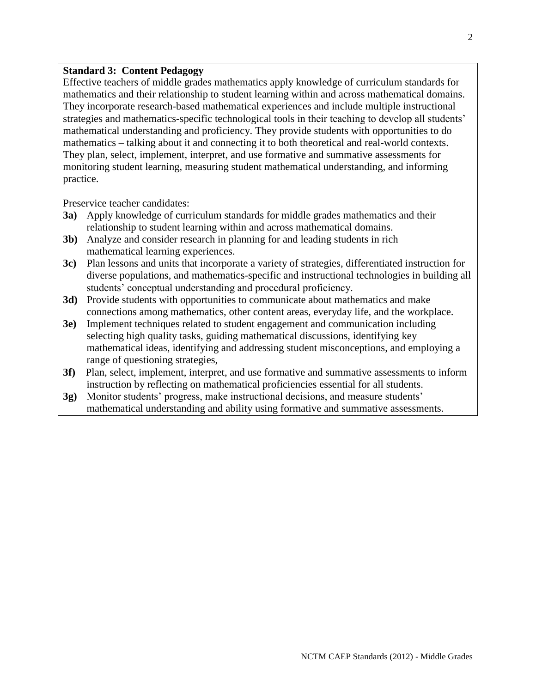#### **Standard 3: Content Pedagogy**

Effective teachers of middle grades mathematics apply knowledge of curriculum standards for mathematics and their relationship to student learning within and across mathematical domains. They incorporate research-based mathematical experiences and include multiple instructional strategies and mathematics-specific technological tools in their teaching to develop all students' mathematical understanding and proficiency. They provide students with opportunities to do mathematics – talking about it and connecting it to both theoretical and real-world contexts. They plan, select, implement, interpret, and use formative and summative assessments for monitoring student learning, measuring student mathematical understanding, and informing practice.

- **3a)** Apply knowledge of curriculum standards for middle grades mathematics and their relationship to student learning within and across mathematical domains.
- **3b)** Analyze and consider research in planning for and leading students in rich mathematical learning experiences.
- **3c)** Plan lessons and units that incorporate a variety of strategies, differentiated instruction for diverse populations, and mathematics-specific and instructional technologies in building all students' conceptual understanding and procedural proficiency.
- **3d)** Provide students with opportunities to communicate about mathematics and make connections among mathematics, other content areas, everyday life, and the workplace.
- **3e)** Implement techniques related to student engagement and communication including selecting high quality tasks, guiding mathematical discussions, identifying key mathematical ideas, identifying and addressing student misconceptions, and employing a range of questioning strategies,
- **3f)** Plan, select, implement, interpret, and use formative and summative assessments to inform instruction by reflecting on mathematical proficiencies essential for all students.
- **3g)** Monitor students' progress, make instructional decisions, and measure students' mathematical understanding and ability using formative and summative assessments.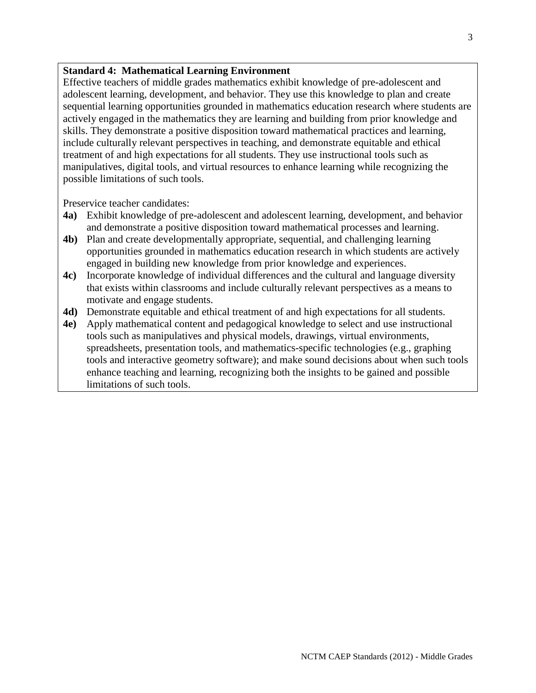### **Standard 4: Mathematical Learning Environment**

Effective teachers of middle grades mathematics exhibit knowledge of pre-adolescent and adolescent learning, development, and behavior. They use this knowledge to plan and create sequential learning opportunities grounded in mathematics education research where students are actively engaged in the mathematics they are learning and building from prior knowledge and skills. They demonstrate a positive disposition toward mathematical practices and learning, include culturally relevant perspectives in teaching, and demonstrate equitable and ethical treatment of and high expectations for all students. They use instructional tools such as manipulatives, digital tools, and virtual resources to enhance learning while recognizing the possible limitations of such tools.

- **4a)** Exhibit knowledge of pre-adolescent and adolescent learning, development, and behavior and demonstrate a positive disposition toward mathematical processes and learning.
- **4b)** Plan and create developmentally appropriate, sequential, and challenging learning opportunities grounded in mathematics education research in which students are actively engaged in building new knowledge from prior knowledge and experiences.
- **4c)** Incorporate knowledge of individual differences and the cultural and language diversity that exists within classrooms and include culturally relevant perspectives as a means to motivate and engage students.
- **4d)** Demonstrate equitable and ethical treatment of and high expectations for all students.
- **4e)** Apply mathematical content and pedagogical knowledge to select and use instructional tools such as manipulatives and physical models, drawings, virtual environments, spreadsheets, presentation tools, and mathematics-specific technologies (e.g., graphing tools and interactive geometry software); and make sound decisions about when such tools enhance teaching and learning, recognizing both the insights to be gained and possible limitations of such tools.